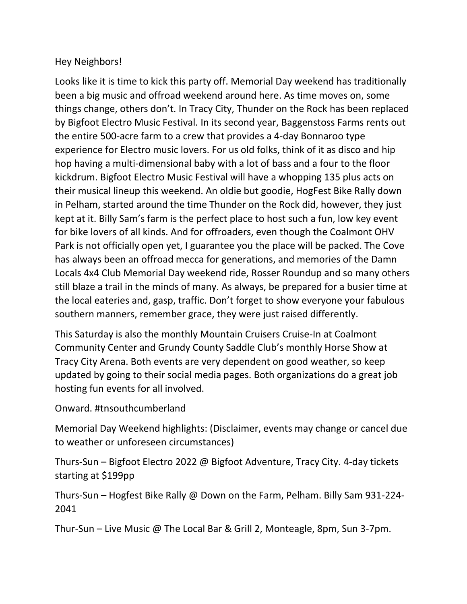## Hey Neighbors!

Looks like it is time to kick this party off. Memorial Day weekend has traditionally been a big music and offroad weekend around here. As time moves on, some things change, others don't. In Tracy City, Thunder on the Rock has been replaced by Bigfoot Electro Music Festival. In its second year, Baggenstoss Farms rents out the entire 500-acre farm to a crew that provides a 4-day Bonnaroo type experience for Electro music lovers. For us old folks, think of it as disco and hip hop having a multi-dimensional baby with a lot of bass and a four to the floor kickdrum. Bigfoot Electro Music Festival will have a whopping 135 plus acts on their musical lineup this weekend. An oldie but goodie, HogFest Bike Rally down in Pelham, started around the time Thunder on the Rock did, however, they just kept at it. Billy Sam's farm is the perfect place to host such a fun, low key event for bike lovers of all kinds. And for offroaders, even though the Coalmont OHV Park is not officially open yet, I guarantee you the place will be packed. The Cove has always been an offroad mecca for generations, and memories of the Damn Locals 4x4 Club Memorial Day weekend ride, Rosser Roundup and so many others still blaze a trail in the minds of many. As always, be prepared for a busier time at the local eateries and, gasp, traffic. Don't forget to show everyone your fabulous southern manners, remember grace, they were just raised differently.

This Saturday is also the monthly Mountain Cruisers Cruise-In at Coalmont Community Center and Grundy County Saddle Club's monthly Horse Show at Tracy City Arena. Both events are very dependent on good weather, so keep updated by going to their social media pages. Both organizations do a great job hosting fun events for all involved.

Onward. #tnsouthcumberland

Memorial Day Weekend highlights: (Disclaimer, events may change or cancel due to weather or unforeseen circumstances)

Thurs-Sun – Bigfoot Electro 2022 @ Bigfoot Adventure, Tracy City. 4-day tickets starting at \$199pp

Thurs-Sun – Hogfest Bike Rally @ Down on the Farm, Pelham. Billy Sam 931-224- 2041

Thur-Sun – Live Music @ The Local Bar & Grill 2, Monteagle, 8pm, Sun 3-7pm.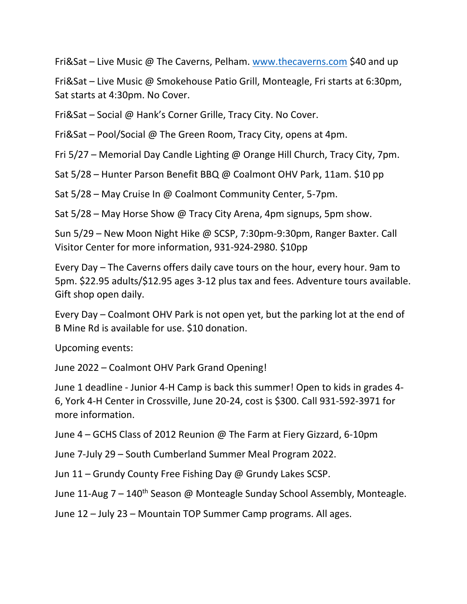Fri&Sat – Live Music @ The Caverns, Pelham. [www.thecaverns.com](http://www.thecaverns.com/) \$40 and up

Fri&Sat – Live Music @ Smokehouse Patio Grill, Monteagle, Fri starts at 6:30pm, Sat starts at 4:30pm. No Cover.

Fri&Sat – Social @ Hank's Corner Grille, Tracy City. No Cover.

Fri&Sat – Pool/Social @ The Green Room, Tracy City, opens at 4pm.

Fri 5/27 – Memorial Day Candle Lighting @ Orange Hill Church, Tracy City, 7pm.

Sat 5/28 – Hunter Parson Benefit BBQ @ Coalmont OHV Park, 11am. \$10 pp

Sat 5/28 – May Cruise In @ Coalmont Community Center, 5-7pm.

Sat 5/28 – May Horse Show @ Tracy City Arena, 4pm signups, 5pm show.

Sun 5/29 – New Moon Night Hike @ SCSP, 7:30pm-9:30pm, Ranger Baxter. Call Visitor Center for more information, 931-924-2980. \$10pp

Every Day – The Caverns offers daily cave tours on the hour, every hour. 9am to 5pm. \$22.95 adults/\$12.95 ages 3-12 plus tax and fees. Adventure tours available. Gift shop open daily.

Every Day – Coalmont OHV Park is not open yet, but the parking lot at the end of B Mine Rd is available for use. \$10 donation.

Upcoming events:

June 2022 – Coalmont OHV Park Grand Opening!

June 1 deadline - Junior 4-H Camp is back this summer! Open to kids in grades 4- 6, York 4-H Center in Crossville, June 20-24, cost is \$300. Call 931-592-3971 for more information.

June 4 – GCHS Class of 2012 Reunion @ The Farm at Fiery Gizzard, 6-10pm

June 7-July 29 – South Cumberland Summer Meal Program 2022.

Jun 11 – Grundy County Free Fishing Day @ Grundy Lakes SCSP.

June 11-Aug  $7 - 140$ <sup>th</sup> Season @ Monteagle Sunday School Assembly, Monteagle.

June 12 – July 23 – Mountain TOP Summer Camp programs. All ages.